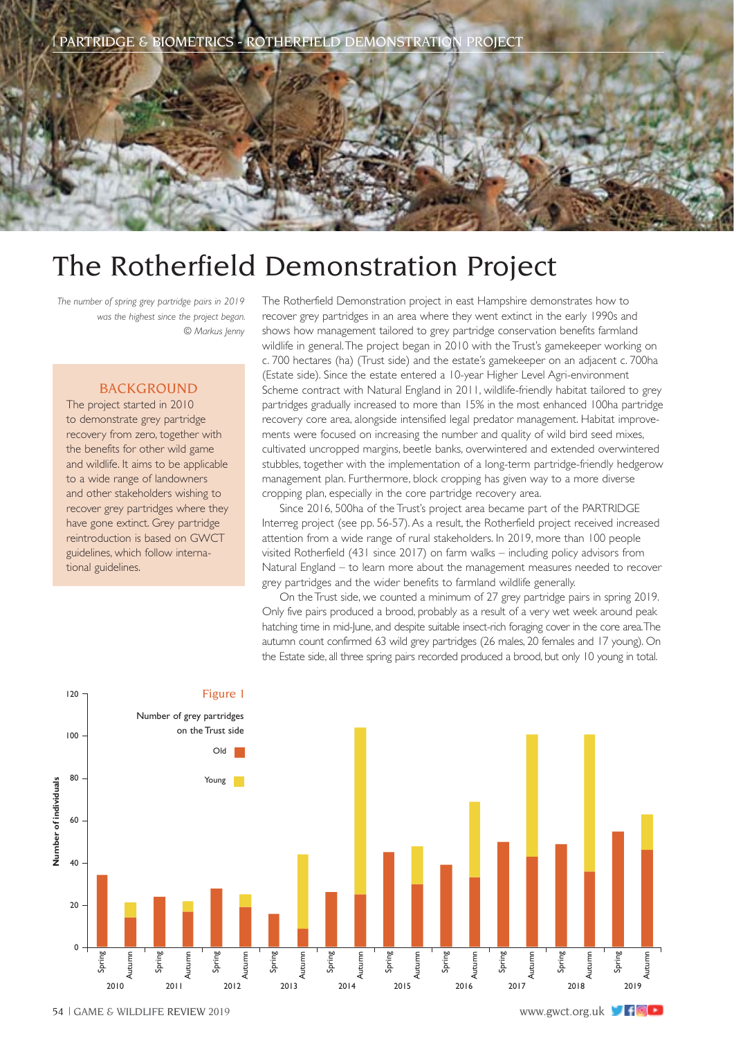

## The Rotherfield Demonstration Project

*The number of spring grey partridge pairs in 2019 was the highest since the project began. © Markus Jenny*

## BACKGROUND

The project started in 2010 to demonstrate grey partridge recovery from zero, together with the benefits for other wild game and wildlife. It aims to be applicable to a wide range of landowners and other stakeholders wishing to recover grey partridges where they have gone extinct. Grey partridge reintroduction is based on GWCT guidelines, which follow international guidelines.

The Rotherfield Demonstration project in east Hampshire demonstrates how to recover grey partridges in an area where they went extinct in the early 1990s and shows how management tailored to grey partridge conservation benefits farmland wildlife in general. The project began in 2010 with the Trust's gamekeeper working on c. 700 hectares (ha) (Trust side) and the estate's gamekeeper on an adjacent c. 700ha (Estate side). Since the estate entered a 10-year Higher Level Agri-environment Scheme contract with Natural England in 2011, wildlife-friendly habitat tailored to grey partridges gradually increased to more than 15% in the most enhanced 100ha partridge recovery core area, alongside intensified legal predator management. Habitat improvements were focused on increasing the number and quality of wild bird seed mixes, cultivated uncropped margins, beetle banks, overwintered and extended overwintered stubbles, together with the implementation of a long-term partridge-friendly hedgerow management plan. Furthermore, block cropping has given way to a more diverse cropping plan, especially in the core partridge recovery area.

Since 2016, 500ha of the Trust's project area became part of the PARTRIDGE Interreg project (see pp. 56-57). As a result, the Rotherfield project received increased attention from a wide range of rural stakeholders. In 2019, more than 100 people visited Rotherfield (431 since 2017) on farm walks – including policy advisors from Natural England – to learn more about the management measures needed to recover grey partridges and the wider benefits to farmland wildlife generally.

On the Trust side, we counted a minimum of 27 grey partridge pairs in spring 2019. Only five pairs produced a brood, probably as a result of a very wet week around peak hatching time in mid-June, and despite suitable insect-rich foraging cover in the core area. The autumn count confirmed 63 wild grey partridges (26 males, 20 females and 17 young). On the Estate side, all three spring pairs recorded produced a brood, but only 10 young in total.